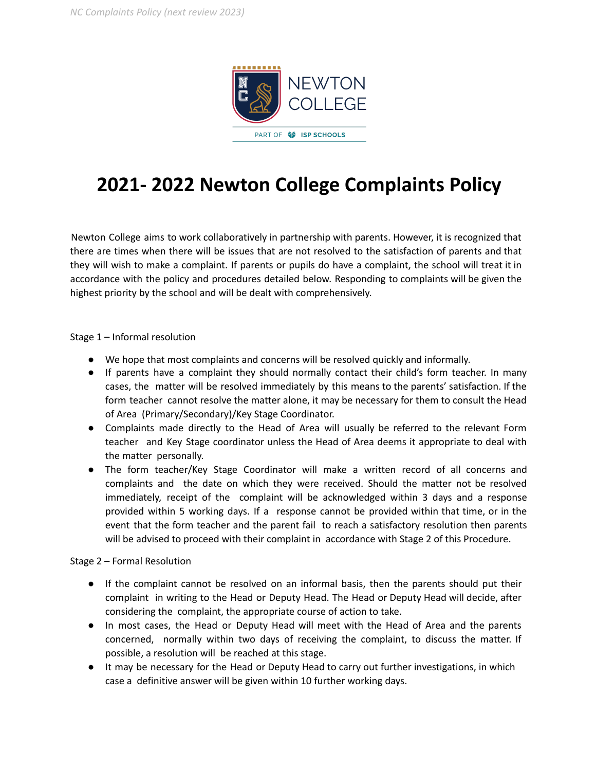

## **2021- 2022 Newton College Complaints Policy**

Newton College aims to work collaboratively in partnership with parents. However, it is recognized that there are times when there will be issues that are not resolved to the satisfaction of parents and that they will wish to make a complaint. If parents or pupils do have a complaint, the school will treat it in accordance with the policy and procedures detailed below. Responding to complaints will be given the highest priority by the school and will be dealt with comprehensively.

Stage 1 – Informal resolution

- We hope that most complaints and concerns will be resolved quickly and informally.
- If parents have a complaint they should normally contact their child's form teacher. In many cases, the matter will be resolved immediately by this means to the parents' satisfaction. If the form teacher cannot resolve the matter alone, it may be necessary for them to consult the Head of Area (Primary/Secondary)/Key Stage Coordinator.
- Complaints made directly to the Head of Area will usually be referred to the relevant Form teacher and Key Stage coordinator unless the Head of Area deems it appropriate to deal with the matter personally.
- The form teacher/Key Stage Coordinator will make a written record of all concerns and complaints and the date on which they were received. Should the matter not be resolved immediately, receipt of the complaint will be acknowledged within 3 days and a response provided within 5 working days. If a response cannot be provided within that time, or in the event that the form teacher and the parent fail to reach a satisfactory resolution then parents will be advised to proceed with their complaint in accordance with Stage 2 of this Procedure.

Stage 2 – Formal Resolution

- If the complaint cannot be resolved on an informal basis, then the parents should put their complaint in writing to the Head or Deputy Head. The Head or Deputy Head will decide, after considering the complaint, the appropriate course of action to take.
- In most cases, the Head or Deputy Head will meet with the Head of Area and the parents concerned, normally within two days of receiving the complaint, to discuss the matter. If possible, a resolution will be reached at this stage.
- It may be necessary for the Head or Deputy Head to carry out further investigations, in which case a definitive answer will be given within 10 further working days.